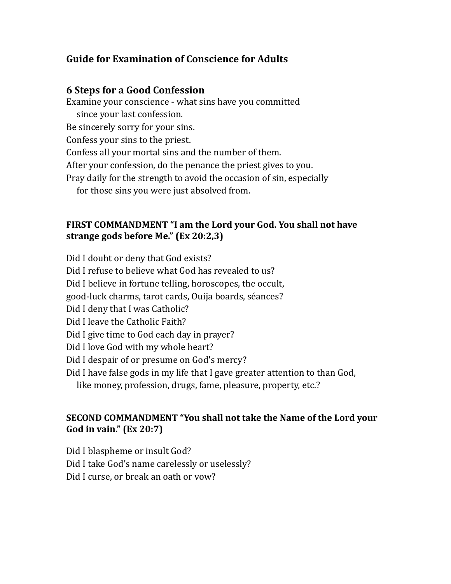## **Guide for Examination of Conscience for Adults**

#### **6** Steps for a Good Confession

Examine your conscience - what sins have you committed since your last confession. Be sincerely sorry for your sins. Confess your sins to the priest. Confess all your mortal sins and the number of them. After your confession, do the penance the priest gives to you. Pray daily for the strength to avoid the occasion of sin, especially for those sins you were just absolved from.

#### FIRST COMMANDMENT "I am the Lord your God. You shall not have strange gods before Me." (Ex 20:2,3)

Did I doubt or deny that God exists?

Did I refuse to believe what God has revealed to us?

Did I believe in fortune telling, horoscopes, the occult,

good-luck charms, tarot cards, Quija boards, séances?

Did I deny that I was Catholic?

Did I leave the Catholic Faith?

Did I give time to God each day in prayer?

Did I love God with my whole heart?

Did I despair of or presume on God's mercy?

Did I have false gods in my life that I gave greater attention to than God,

like money, profession, drugs, fame, pleasure, property, etc.?

#### **SECOND COMMANDMENT "You shall not take the Name of the Lord your God** in vain." (Ex 20:7)

Did I blaspheme or insult God?

Did I take God's name carelessly or uselessly?

Did I curse, or break an oath or vow?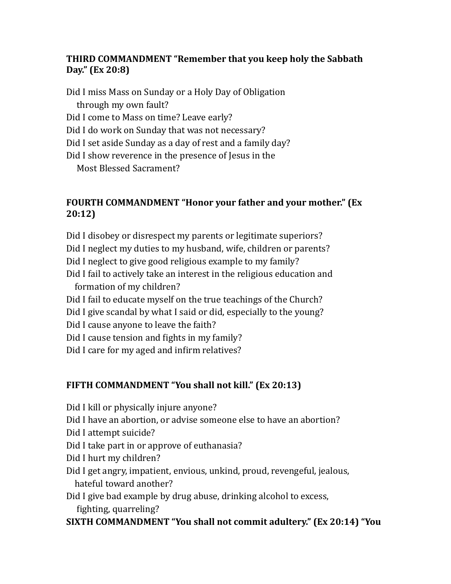## **THIRD COMMANDMENT "Remember that you keep holy the Sabbath** Day." (Ex 20:8)

- Did I miss Mass on Sunday or a Holy Day of Obligation through my own fault?
- Did I come to Mass on time? Leave early?
- Did I do work on Sunday that was not necessary?
- Did I set aside Sunday as a day of rest and a family day?
- Did I show reverence in the presence of Jesus in the

Most Blessed Sacrament?

# **FOURTH COMMANDMENT "Honor your father and your mother." (Ex 20:12)**

- Did I disobey or disrespect my parents or legitimate superiors?
- Did I neglect my duties to my husband, wife, children or parents?
- Did I neglect to give good religious example to my family?
- Did I fail to actively take an interest in the religious education and formation of my children?
- Did I fail to educate myself on the true teachings of the Church?
- Did I give scandal by what I said or did, especially to the young?
- Did I cause anyone to leave the faith?
- Did I cause tension and fights in my family?
- Did I care for my aged and infirm relatives?

# **FIFTH COMMANDMENT "You shall not kill." (Ex 20:13)**

- Did I kill or physically injure anyone?
- Did I have an abortion, or advise someone else to have an abortion?
- Did I attempt suicide?
- Did I take part in or approve of euthanasia?
- Did I hurt my children?
- Did I get angry, impatient, envious, unkind, proud, revengeful, jealous, hateful toward another?
- Did I give bad example by drug abuse, drinking alcohol to excess, fighting, quarreling?

# **SIXTH COMMANDMENT "You shall not commit adultery." (Ex 20:14) "You**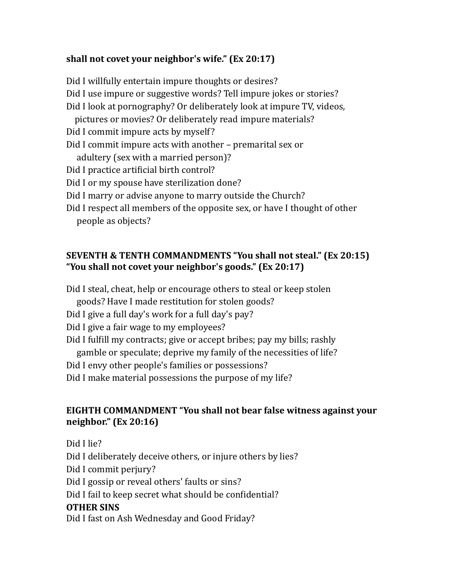## shall not covet your neighbor's wife." (Ex 20:17)

Did I willfully entertain impure thoughts or desires? Did I use impure or suggestive words? Tell impure jokes or stories? Did I look at pornography? Or deliberately look at impure TV, videos, pictures or movies? Or deliberately read impure materials? Did I commit impure acts by myself? Did I commit impure acts with another - premarital sex or adultery (sex with a married person)? Did I practice artificial birth control? Did I or my spouse have sterilization done? Did I marry or advise anyone to marry outside the Church? Did I respect all members of the opposite sex, or have I thought of other

people as objects?

### **SEVENTH & TENTH COMMANDMENTS "You shall not steal." (Ex 20:15)** "You shall not covet your neighbor's goods." (Ex 20:17)

Did I steal, cheat, help or encourage others to steal or keep stolen goods? Have I made restitution for stolen goods?

Did I give a full day's work for a full day's pay?

Did I give a fair wage to my employees?

Did I fulfill my contracts; give or accept bribes; pay my bills; rashly gamble or speculate; deprive my family of the necessities of life?

Did I envy other people's families or possessions?

Did I make material possessions the purpose of my life?

## **EIGHTH COMMANDMENT "You shall not bear false witness against your neighbor."** (Ex 20:16)

Did I lie?

Did I deliberately deceive others, or injure others by lies? Did I commit perjury? Did I gossip or reveal others' faults or sins?

Did I fail to keep secret what should be confidential?

## **OTHER SINS**

Did I fast on Ash Wednesday and Good Friday?